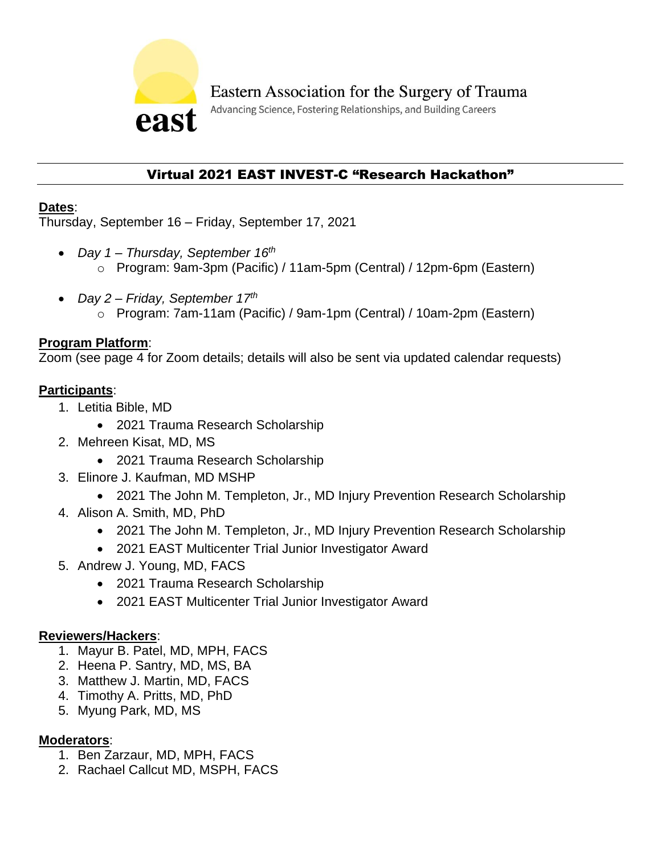

Advancing Science, Fostering Relationships, and Building Careers

# Virtual 2021 EAST INVEST-C "Research Hackathon"

### **Dates**:

Thursday, September 16 – Friday, September 17, 2021

- *Day 1 – Thursday, September 16th* o Program: 9am-3pm (Pacific) / 11am-5pm (Central) / 12pm-6pm (Eastern)
- *Day 2 – Friday, September 17th* o Program: 7am-11am (Pacific) / 9am-1pm (Central) / 10am-2pm (Eastern)

## **Program Platform**:

Zoom (see page 4 for Zoom details; details will also be sent via updated calendar requests)

## **Participants**:

- 1. Letitia Bible, MD
	- 2021 Trauma Research Scholarship
- 2. Mehreen Kisat, MD, MS
	- 2021 Trauma Research Scholarship
- 3. Elinore J. Kaufman, MD MSHP
	- 2021 The John M. Templeton, Jr., MD Injury Prevention Research Scholarship
- 4. Alison A. Smith, MD, PhD
	- 2021 The John M. Templeton, Jr., MD Injury Prevention Research Scholarship
	- 2021 EAST Multicenter Trial Junior Investigator Award
- 5. Andrew J. Young, MD, FACS
	- 2021 Trauma Research Scholarship
	- 2021 EAST Multicenter Trial Junior Investigator Award

# **Reviewers/Hackers**:

- 1. Mayur B. Patel, MD, MPH, FACS
- 2. Heena P. Santry, MD, MS, BA
- 3. Matthew J. Martin, MD, FACS
- 4. Timothy A. Pritts, MD, PhD
- 5. Myung Park, MD, MS

# **Moderators**:

- 1. Ben Zarzaur, MD, MPH, FACS
- 2. Rachael Callcut MD, MSPH, FACS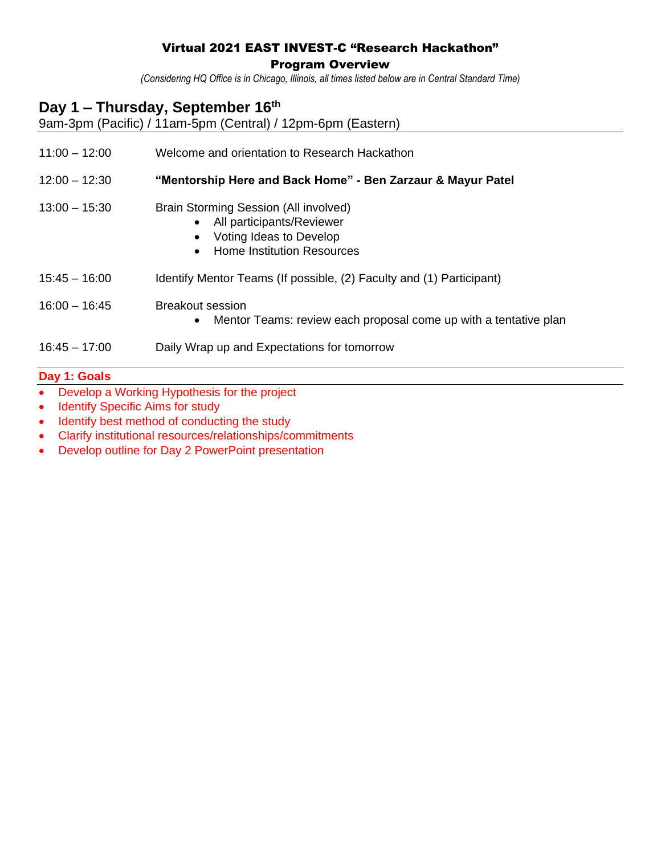### Virtual 2021 EAST INVEST-C "Research Hackathon"

Program Overview

*(Considering HQ Office is in Chicago, Illinois, all times listed below are in Central Standard Time)*

# **Day 1 – Thursday, September 16th**

9am-3pm (Pacific) / 11am-5pm (Central) / 12pm-6pm (Eastern)

11:00 – 12:00 Welcome and orientation to Research Hackathon

12:00 – 12:30 **"Mentorship Here and Back Home" - Ben Zarzaur & Mayur Patel**

- 13:00 15:30 Brain Storming Session (All involved)
	- All participants/Reviewer
	- Voting Ideas to Develop
	- Home Institution Resources
- 15:45 16:00 Identify Mentor Teams (If possible, (2) Faculty and (1) Participant)
- 16:00 16:45 Breakout session
	- Mentor Teams: review each proposal come up with a tentative plan
- 16:45 17:00 Daily Wrap up and Expectations for tomorrow

#### **Day 1: Goals**

- Develop a Working Hypothesis for the project
- Identify Specific Aims for study
- Identify best method of conducting the study
- Clarify institutional resources/relationships/commitments
- Develop outline for Day 2 PowerPoint presentation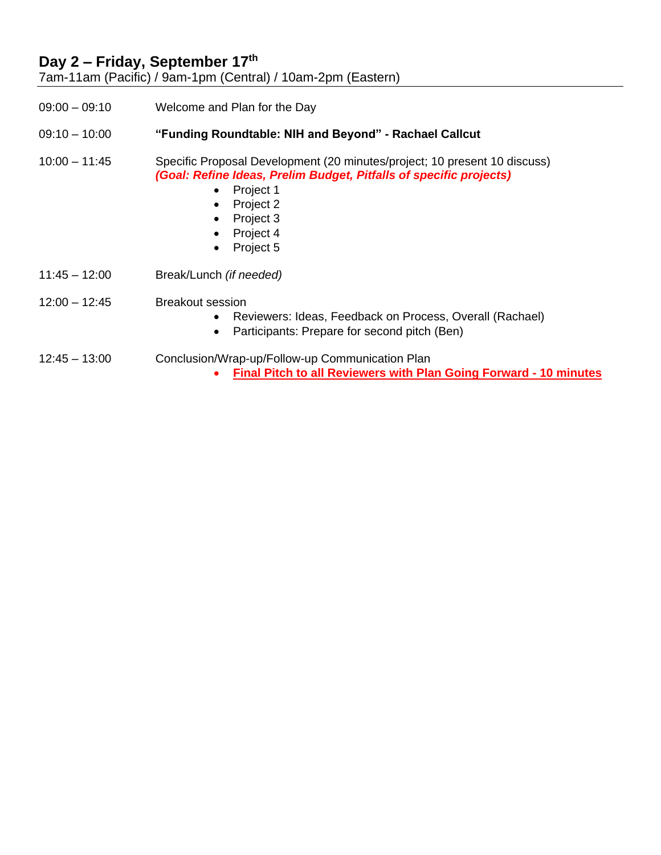## **Day 2 – Friday, September 17th**

7am-11am (Pacific) / 9am-1pm (Central) / 10am-2pm (Eastern)

09:00 – 09:10 Welcome and Plan for the Day

09:10 – 10:00 **"Funding Roundtable: NIH and Beyond" - Rachael Callcut**

10:00 – 11:45 Specific Proposal Development (20 minutes/project; 10 present 10 discuss) *(Goal: Refine Ideas, Prelim Budget, Pitfalls of specific projects)*

- Project 1
- Project 2
- Project 3
- Project 4
- Project 5
- 11:45 12:00 Break/Lunch *(if needed)*
- 12:00 12:45 Breakout session
	- Reviewers: Ideas, Feedback on Process, Overall (Rachael)
	- Participants: Prepare for second pitch (Ben)
- 12:45 13:00 Conclusion/Wrap-up/Follow-up Communication Plan
	- **Final Pitch to all Reviewers with Plan Going Forward - 10 minutes**